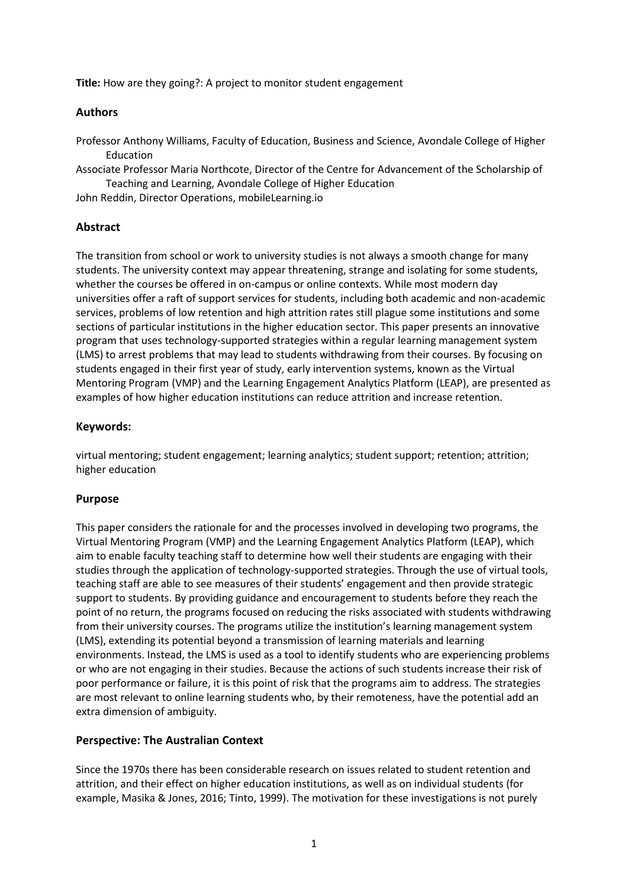**Title:** How are they going?: A project to monitor student engagement

## **Authors**

Professor Anthony Williams, Faculty of Education, Business and Science, Avondale College of Higher Education

Associate Professor Maria Northcote, Director of the Centre for Advancement of the Scholarship of Teaching and Learning, Avondale College of Higher Education

John Reddin, Director Operations, mobileLearning.io

## **Abstract**

The transition from school or work to university studies is not always a smooth change for many students. The university context may appear threatening, strange and isolating for some students, whether the courses be offered in on-campus or online contexts. While most modern day universities offer a raft of support services for students, including both academic and non-academic services, problems of low retention and high attrition rates still plague some institutions and some sections of particular institutions in the higher education sector. This paper presents an innovative program that uses technology-supported strategies within a regular learning management system (LMS) to arrest problems that may lead to students withdrawing from their courses. By focusing on students engaged in their first year of study, early intervention systems, known as the Virtual Mentoring Program (VMP) and the Learning Engagement Analytics Platform (LEAP), are presented as examples of how higher education institutions can reduce attrition and increase retention.

## **Keywords:**

virtual mentoring; student engagement; learning analytics; student support; retention; attrition; higher education

## **Purpose**

This paper considers the rationale for and the processes involved in developing two programs, the Virtual Mentoring Program (VMP) and the Learning Engagement Analytics Platform (LEAP), which aim to enable faculty teaching staff to determine how well their students are engaging with their studies through the application of technology-supported strategies. Through the use of virtual tools, teaching staff are able to see measures of their students' engagement and then provide strategic support to students. By providing guidance and encouragement to students before they reach the point of no return, the programs focused on reducing the risks associated with students withdrawing from their university courses. The programs utilize the institution's learning management system (LMS), extending its potential beyond a transmission of learning materials and learning environments. Instead, the LMS is used as a tool to identify students who are experiencing problems or who are not engaging in their studies. Because the actions of such students increase their risk of poor performance or failure, it is this point of risk that the programs aim to address. The strategies are most relevant to online learning students who, by their remoteness, have the potential add an extra dimension of ambiguity.

## **Perspective: The Australian Context**

Since the 1970s there has been considerable research on issues related to student retention and attrition, and their effect on higher education institutions, as well as on individual students (for example, Masika & Jones, 2016; Tinto, 1999). The motivation for these investigations is not purely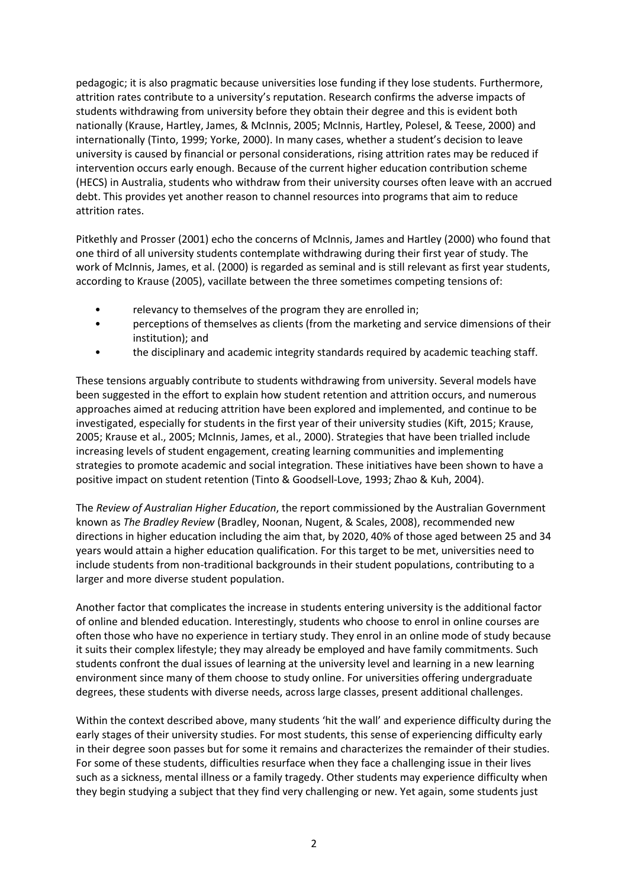pedagogic; it is also pragmatic because universities lose funding if they lose students. Furthermore, attrition rates contribute to a university's reputation. Research confirms the adverse impacts of students withdrawing from university before they obtain their degree and this is evident both nationally (Krause, Hartley, James, & McInnis, 2005; McInnis, Hartley, Polesel, & Teese, 2000) and internationally (Tinto, 1999; Yorke, 2000). In many cases, whether a student's decision to leave university is caused by financial or personal considerations, rising attrition rates may be reduced if intervention occurs early enough. Because of the current higher education contribution scheme (HECS) in Australia, students who withdraw from their university courses often leave with an accrued debt. This provides yet another reason to channel resources into programs that aim to reduce attrition rates.

Pitkethly and Prosser (2001) echo the concerns of McInnis, James and Hartley (2000) who found that one third of all university students contemplate withdrawing during their first year of study. The work of McInnis, James, et al. (2000) is regarded as seminal and is still relevant as first year students, according to Krause (2005), vacillate between the three sometimes competing tensions of:

- relevancy to themselves of the program they are enrolled in;
- perceptions of themselves as clients (from the marketing and service dimensions of their institution); and
- the disciplinary and academic integrity standards required by academic teaching staff.

These tensions arguably contribute to students withdrawing from university. Several models have been suggested in the effort to explain how student retention and attrition occurs, and numerous approaches aimed at reducing attrition have been explored and implemented, and continue to be investigated, especially for students in the first year of their university studies (Kift, 2015; Krause, 2005; Krause et al., 2005; McInnis, James, et al., 2000). Strategies that have been trialled include increasing levels of student engagement, creating learning communities and implementing strategies to promote academic and social integration. These initiatives have been shown to have a positive impact on student retention (Tinto & Goodsell-Love, 1993; Zhao & Kuh, 2004).

The *Review of Australian Higher Education*, the report commissioned by the Australian Government known as *The Bradley Review* (Bradley, Noonan, Nugent, & Scales, 2008), recommended new directions in higher education including the aim that, by 2020, 40% of those aged between 25 and 34 years would attain a higher education qualification. For this target to be met, universities need to include students from non-traditional backgrounds in their student populations, contributing to a larger and more diverse student population.

Another factor that complicates the increase in students entering university is the additional factor of online and blended education. Interestingly, students who choose to enrol in online courses are often those who have no experience in tertiary study. They enrol in an online mode of study because it suits their complex lifestyle; they may already be employed and have family commitments. Such students confront the dual issues of learning at the university level and learning in a new learning environment since many of them choose to study online. For universities offering undergraduate degrees, these students with diverse needs, across large classes, present additional challenges.

Within the context described above, many students 'hit the wall' and experience difficulty during the early stages of their university studies. For most students, this sense of experiencing difficulty early in their degree soon passes but for some it remains and characterizes the remainder of their studies. For some of these students, difficulties resurface when they face a challenging issue in their lives such as a sickness, mental illness or a family tragedy. Other students may experience difficulty when they begin studying a subject that they find very challenging or new. Yet again, some students just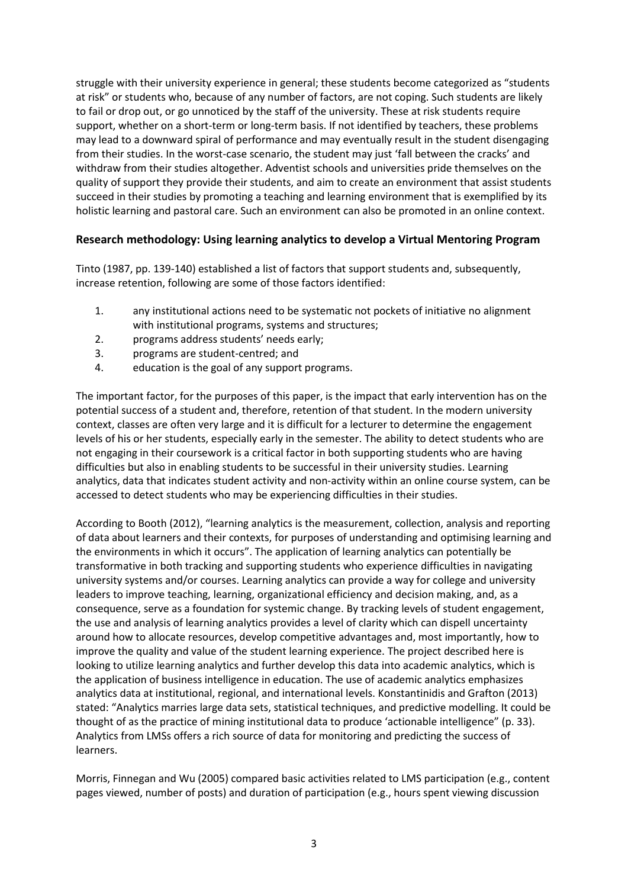struggle with their university experience in general; these students become categorized as "students at risk" or students who, because of any number of factors, are not coping. Such students are likely to fail or drop out, or go unnoticed by the staff of the university. These at risk students require support, whether on a short-term or long-term basis. If not identified by teachers, these problems may lead to a downward spiral of performance and may eventually result in the student disengaging from their studies. In the worst-case scenario, the student may just 'fall between the cracks' and withdraw from their studies altogether. Adventist schools and universities pride themselves on the quality of support they provide their students, and aim to create an environment that assist students succeed in their studies by promoting a teaching and learning environment that is exemplified by its holistic learning and pastoral care. Such an environment can also be promoted in an online context.

# **Research methodology: Using learning analytics to develop a Virtual Mentoring Program**

Tinto (1987, pp. 139-140) established a list of factors that support students and, subsequently, increase retention, following are some of those factors identified:

- 1. any institutional actions need to be systematic not pockets of initiative no alignment with institutional programs, systems and structures;
- 2. programs address students' needs early;
- 3. programs are student-centred; and
- 4. education is the goal of any support programs.

The important factor, for the purposes of this paper, is the impact that early intervention has on the potential success of a student and, therefore, retention of that student. In the modern university context, classes are often very large and it is difficult for a lecturer to determine the engagement levels of his or her students, especially early in the semester. The ability to detect students who are not engaging in their coursework is a critical factor in both supporting students who are having difficulties but also in enabling students to be successful in their university studies. Learning analytics, data that indicates student activity and non-activity within an online course system, can be accessed to detect students who may be experiencing difficulties in their studies.

According to Booth (2012), "learning analytics is the measurement, collection, analysis and reporting of data about learners and their contexts, for purposes of understanding and optimising learning and the environments in which it occurs". The application of learning analytics can potentially be transformative in both tracking and supporting students who experience difficulties in navigating university systems and/or courses. Learning analytics can provide a way for college and university leaders to improve teaching, learning, organizational efficiency and decision making, and, as a consequence, serve as a foundation for systemic change. By tracking levels of student engagement, the use and analysis of learning analytics provides a level of clarity which can dispell uncertainty around how to allocate resources, develop competitive advantages and, most importantly, how to improve the quality and value of the student learning experience. The project described here is looking to utilize learning analytics and further develop this data into academic analytics, which is the application of business intelligence in education. The use of academic analytics emphasizes analytics data at institutional, regional, and international levels. Konstantinidis and Grafton (2013) stated: "Analytics marries large data sets, statistical techniques, and predictive modelling. It could be thought of as the practice of mining institutional data to produce 'actionable intelligence" (p. 33). Analytics from LMSs offers a rich source of data for monitoring and predicting the success of learners.

Morris, Finnegan and Wu (2005) compared basic activities related to LMS participation (e.g., content pages viewed, number of posts) and duration of participation (e.g., hours spent viewing discussion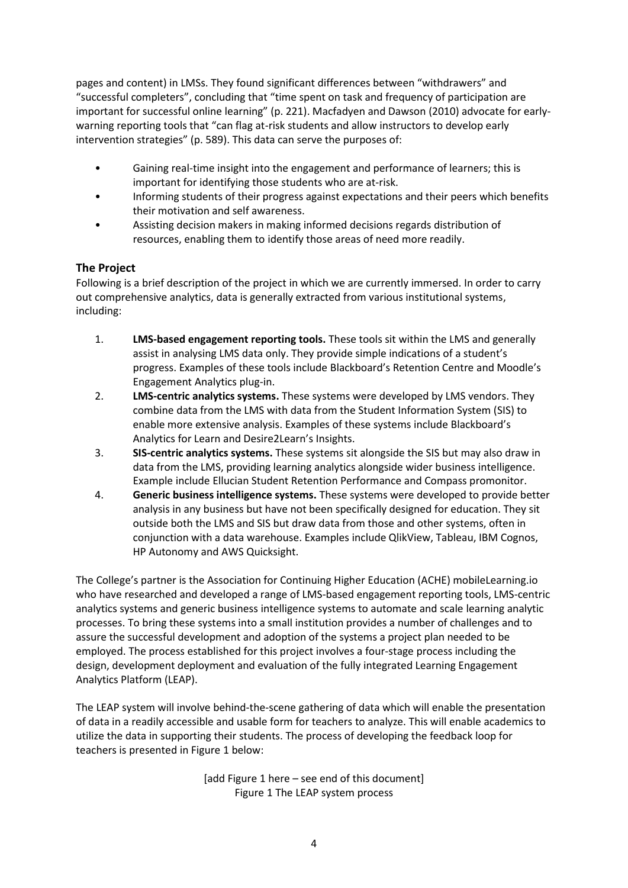pages and content) in LMSs. They found significant differences between "withdrawers" and "successful completers", concluding that "time spent on task and frequency of participation are important for successful online learning" (p. 221). Macfadyen and Dawson (2010) advocate for earlywarning reporting tools that "can flag at-risk students and allow instructors to develop early intervention strategies" (p. 589). This data can serve the purposes of:

- Gaining real-time insight into the engagement and performance of learners; this is important for identifying those students who are at-risk.
- Informing students of their progress against expectations and their peers which benefits their motivation and self awareness.
- Assisting decision makers in making informed decisions regards distribution of resources, enabling them to identify those areas of need more readily.

# **The Project**

Following is a brief description of the project in which we are currently immersed. In order to carry out comprehensive analytics, data is generally extracted from various institutional systems, including:

- 1. **LMS-based engagement reporting tools.** These tools sit within the LMS and generally assist in analysing LMS data only. They provide simple indications of a student's progress. Examples of these tools include Blackboard's Retention Centre and Moodle's Engagement Analytics plug-in.
- 2. **LMS-centric analytics systems.** These systems were developed by LMS vendors. They combine data from the LMS with data from the Student Information System (SIS) to enable more extensive analysis. Examples of these systems include Blackboard's Analytics for Learn and Desire2Learn's Insights.
- 3. **SIS-centric analytics systems.** These systems sit alongside the SIS but may also draw in data from the LMS, providing learning analytics alongside wider business intelligence. Example include Ellucian Student Retention Performance and Compass promonitor.
- 4. **Generic business intelligence systems.** These systems were developed to provide better analysis in any business but have not been specifically designed for education. They sit outside both the LMS and SIS but draw data from those and other systems, often in conjunction with a data warehouse. Examples include QlikView, Tableau, IBM Cognos, HP Autonomy and AWS Quicksight.

The College's partner is the Association for Continuing Higher Education (ACHE) mobileLearning.io who have researched and developed a range of LMS-based engagement reporting tools, LMS-centric analytics systems and generic business intelligence systems to automate and scale learning analytic processes. To bring these systems into a small institution provides a number of challenges and to assure the successful development and adoption of the systems a project plan needed to be employed. The process established for this project involves a four-stage process including the design, development deployment and evaluation of the fully integrated Learning Engagement Analytics Platform (LEAP).

<span id="page-3-0"></span>The LEAP system will involve behind-the-scene gathering of data which will enable the presentation of data in a readily accessible and usable form for teachers to analyze. This will enable academics to utilize the data in supporting their students. The process of developing the feedback loop for teachers is presented in [Figure 1](#page-3-0) below:

> [add Figure 1 here – see end of this document] Figure 1 The LEAP system process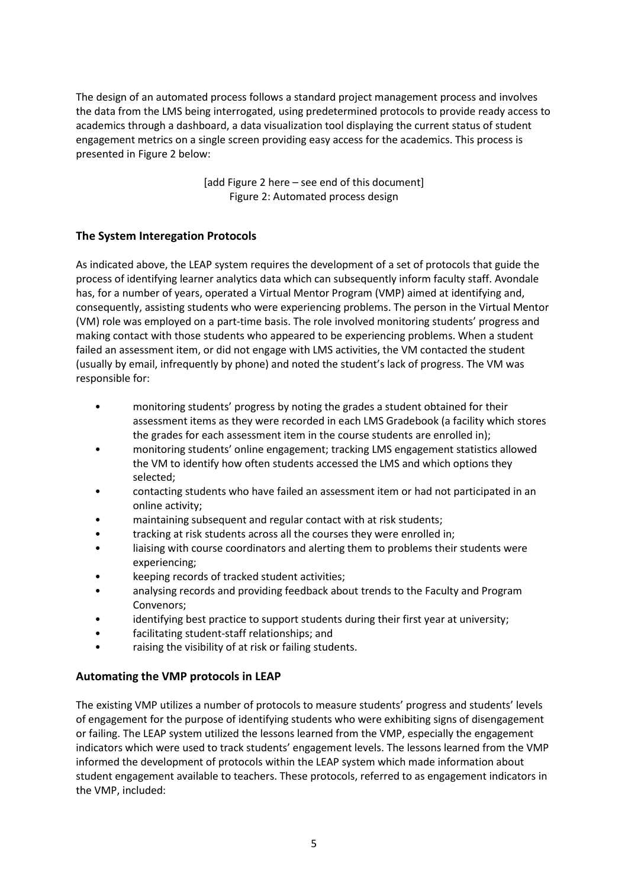The design of an automated process follows a standard project management process and involves the data from the LMS being interrogated, using predetermined protocols to provide ready access to academics through a dashboard, a data visualization tool displaying the current status of student engagement metrics on a single screen providing easy access for the academics. This process is presented in [Figure 2](#page-4-0) below:

> [add Figure 2 here – see end of this document] Figure 2: Automated process design

# <span id="page-4-0"></span>**The System Interegation Protocols**

As indicated above, the LEAP system requires the development of a set of protocols that guide the process of identifying learner analytics data which can subsequently inform faculty staff. Avondale has, for a number of years, operated a Virtual Mentor Program (VMP) aimed at identifying and, consequently, assisting students who were experiencing problems. The person in the Virtual Mentor (VM) role was employed on a part-time basis. The role involved monitoring students' progress and making contact with those students who appeared to be experiencing problems. When a student failed an assessment item, or did not engage with LMS activities, the VM contacted the student (usually by email, infrequently by phone) and noted the student's lack of progress. The VM was responsible for:

- monitoring students' progress by noting the grades a student obtained for their assessment items as they were recorded in each LMS Gradebook (a facility which stores the grades for each assessment item in the course students are enrolled in);
- monitoring students' online engagement; tracking LMS engagement statistics allowed the VM to identify how often students accessed the LMS and which options they selected;
- contacting students who have failed an assessment item or had not participated in an online activity;
- maintaining subsequent and regular contact with at risk students;
- tracking at risk students across all the courses they were enrolled in;
- liaising with course coordinators and alerting them to problems their students were experiencing;
- keeping records of tracked student activities;
- analysing records and providing feedback about trends to the Faculty and Program Convenors;
- identifying best practice to support students during their first year at university;
- facilitating student-staff relationships; and
- raising the visibility of at risk or failing students.

# **Automating the VMP protocols in LEAP**

The existing VMP utilizes a number of protocols to measure students' progress and students' levels of engagement for the purpose of identifying students who were exhibiting signs of disengagement or failing. The LEAP system utilized the lessons learned from the VMP, especially the engagement indicators which were used to track students' engagement levels. The lessons learned from the VMP informed the development of protocols within the LEAP system which made information about student engagement available to teachers. These protocols, referred to as engagement indicators in the VMP, included: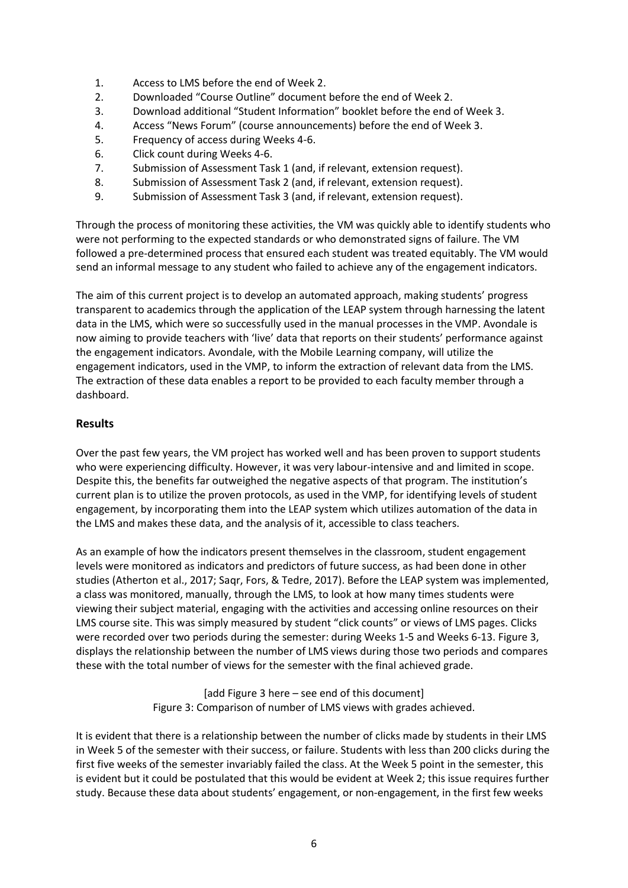- 1. Access to LMS before the end of Week 2.
- 2. Downloaded "Course Outline" document before the end of Week 2.
- 3. Download additional "Student Information" booklet before the end of Week 3.
- 4. Access "News Forum" (course announcements) before the end of Week 3.
- 5. Frequency of access during Weeks 4-6.
- 6. Click count during Weeks 4-6.
- 7. Submission of Assessment Task 1 (and, if relevant, extension request).
- 8. Submission of Assessment Task 2 (and, if relevant, extension request).
- 9. Submission of Assessment Task 3 (and, if relevant, extension request).

Through the process of monitoring these activities, the VM was quickly able to identify students who were not performing to the expected standards or who demonstrated signs of failure. The VM followed a pre-determined process that ensured each student was treated equitably. The VM would send an informal message to any student who failed to achieve any of the engagement indicators.

The aim of this current project is to develop an automated approach, making students' progress transparent to academics through the application of the LEAP system through harnessing the latent data in the LMS, which were so successfully used in the manual processes in the VMP. Avondale is now aiming to provide teachers with 'live' data that reports on their students' performance against the engagement indicators. Avondale, with the Mobile Learning company, will utilize the engagement indicators, used in the VMP, to inform the extraction of relevant data from the LMS. The extraction of these data enables a report to be provided to each faculty member through a dashboard.

#### **Results**

Over the past few years, the VM project has worked well and has been proven to support students who were experiencing difficulty. However, it was very labour-intensive and and limited in scope. Despite this, the benefits far outweighed the negative aspects of that program. The institution's current plan is to utilize the proven protocols, as used in the VMP, for identifying levels of student engagement, by incorporating them into the LEAP system which utilizes automation of the data in the LMS and makes these data, and the analysis of it, accessible to class teachers.

As an example of how the indicators present themselves in the classroom, student engagement levels were monitored as indicators and predictors of future success, as had been done in other studies (Atherton et al., 2017; Saqr, Fors, & Tedre, 2017). Before the LEAP system was implemented, a class was monitored, manually, through the LMS, to look at how many times students were viewing their subject material, engaging with the activities and accessing online resources on their LMS course site. This was simply measured by student "click counts" or views of LMS pages. Clicks were recorded over two periods during the semester: during Weeks 1-5 and Weeks 6-13. [Figure 3,](#page-5-0) displays the relationship between the number of LMS views during those two periods and compares these with the total number of views for the semester with the final achieved grade.

> [add Figure 3 here – see end of this document] Figure 3: Comparison of number of LMS views with grades achieved.

<span id="page-5-0"></span>It is evident that there is a relationship between the number of clicks made by students in their LMS in Week 5 of the semester with their success, or failure. Students with less than 200 clicks during the first five weeks of the semester invariably failed the class. At the Week 5 point in the semester, this is evident but it could be postulated that this would be evident at Week 2; this issue requires further study. Because these data about students' engagement, or non-engagement, in the first few weeks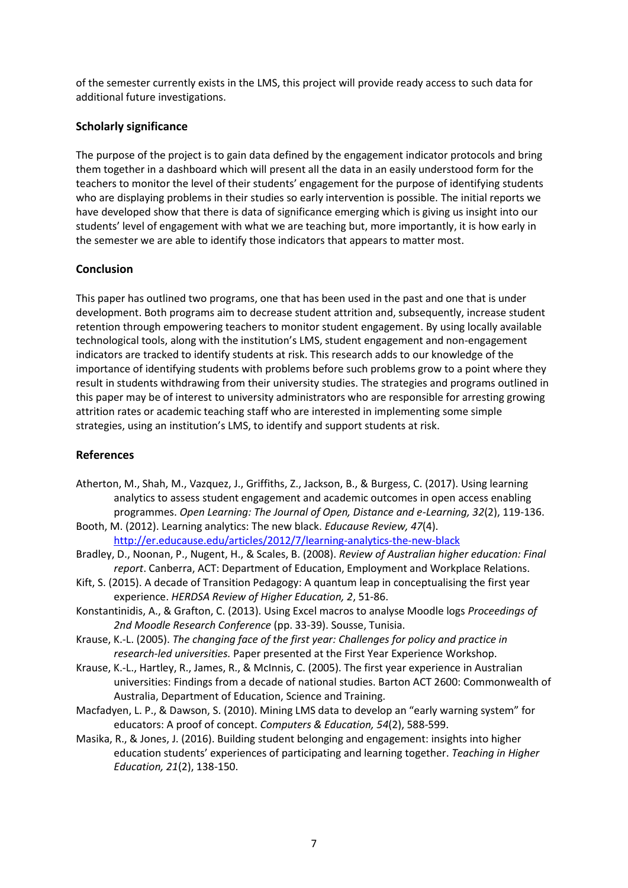of the semester currently exists in the LMS, this project will provide ready access to such data for additional future investigations.

## **Scholarly significance**

The purpose of the project is to gain data defined by the engagement indicator protocols and bring them together in a dashboard which will present all the data in an easily understood form for the teachers to monitor the level of their students' engagement for the purpose of identifying students who are displaying problems in their studies so early intervention is possible. The initial reports we have developed show that there is data of significance emerging which is giving us insight into our students' level of engagement with what we are teaching but, more importantly, it is how early in the semester we are able to identify those indicators that appears to matter most.

# **Conclusion**

This paper has outlined two programs, one that has been used in the past and one that is under development. Both programs aim to decrease student attrition and, subsequently, increase student retention through empowering teachers to monitor student engagement. By using locally available technological tools, along with the institution's LMS, student engagement and non-engagement indicators are tracked to identify students at risk. This research adds to our knowledge of the importance of identifying students with problems before such problems grow to a point where they result in students withdrawing from their university studies. The strategies and programs outlined in this paper may be of interest to university administrators who are responsible for arresting growing attrition rates or academic teaching staff who are interested in implementing some simple strategies, using an institution's LMS, to identify and support students at risk.

## **References**

- Atherton, M., Shah, M., Vazquez, J., Griffiths, Z., Jackson, B., & Burgess, C. (2017). Using learning analytics to assess student engagement and academic outcomes in open access enabling programmes. *Open Learning: The Journal of Open, Distance and e-Learning, 32*(2), 119-136.
- Booth, M. (2012). Learning analytics: The new black. *Educause Review, 47*(4). <http://er.educause.edu/articles/2012/7/learning-analytics-the-new-black>
- Bradley, D., Noonan, P., Nugent, H., & Scales, B. (2008). *Review of Australian higher education: Final report*. Canberra, ACT: Department of Education, Employment and Workplace Relations.
- Kift, S. (2015). A decade of Transition Pedagogy: A quantum leap in conceptualising the first year experience. *HERDSA Review of Higher Education, 2*, 51-86.
- Konstantinidis, A., & Grafton, C. (2013). Using Excel macros to analyse Moodle logs *Proceedings of 2nd Moodle Research Conference* (pp. 33-39). Sousse, Tunisia.
- Krause, K.-L. (2005). *The changing face of the first year: Challenges for policy and practice in research-led universities.* Paper presented at the First Year Experience Workshop.
- Krause, K.-L., Hartley, R., James, R., & McInnis, C. (2005). The first year experience in Australian universities: Findings from a decade of national studies. Barton ACT 2600: Commonwealth of Australia, Department of Education, Science and Training.
- Macfadyen, L. P., & Dawson, S. (2010). Mining LMS data to develop an "early warning system" for educators: A proof of concept. *Computers & Education, 54*(2), 588-599.
- Masika, R., & Jones, J. (2016). Building student belonging and engagement: insights into higher education students' experiences of participating and learning together. *Teaching in Higher Education, 21*(2), 138-150.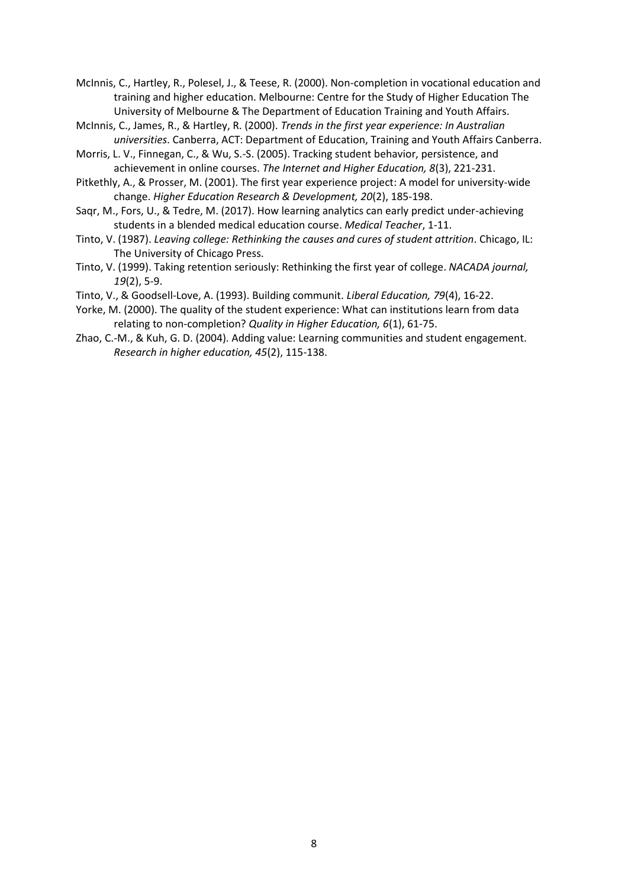McInnis, C., Hartley, R., Polesel, J., & Teese, R. (2000). Non-completion in vocational education and training and higher education. Melbourne: Centre for the Study of Higher Education The University of Melbourne & The Department of Education Training and Youth Affairs.

- McInnis, C., James, R., & Hartley, R. (2000). *Trends in the first year experience: In Australian universities*. Canberra, ACT: Department of Education, Training and Youth Affairs Canberra.
- Morris, L. V., Finnegan, C., & Wu, S.-S. (2005). Tracking student behavior, persistence, and achievement in online courses. *The Internet and Higher Education, 8*(3), 221-231.
- Pitkethly, A., & Prosser, M. (2001). The first year experience project: A model for university-wide change. *Higher Education Research & Development, 20*(2), 185-198.
- Saqr, M., Fors, U., & Tedre, M. (2017). How learning analytics can early predict under-achieving students in a blended medical education course. *Medical Teacher*, 1-11.
- Tinto, V. (1987). *Leaving college: Rethinking the causes and cures of student attrition*. Chicago, IL: The University of Chicago Press.
- Tinto, V. (1999). Taking retention seriously: Rethinking the first year of college. *NACADA journal, 19*(2), 5-9.
- Tinto, V., & Goodsell-Love, A. (1993). Building communit. *Liberal Education, 79*(4), 16-22.
- Yorke, M. (2000). The quality of the student experience: What can institutions learn from data relating to non-completion? *Quality in Higher Education, 6*(1), 61-75.
- Zhao, C.-M., & Kuh, G. D. (2004). Adding value: Learning communities and student engagement. *Research in higher education, 45*(2), 115-138.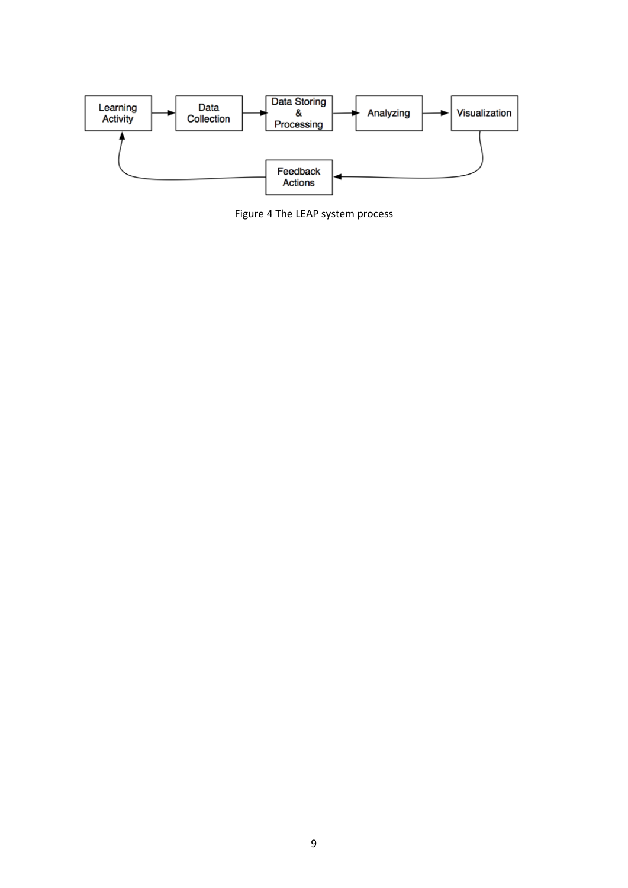

Figure 4 The LEAP system process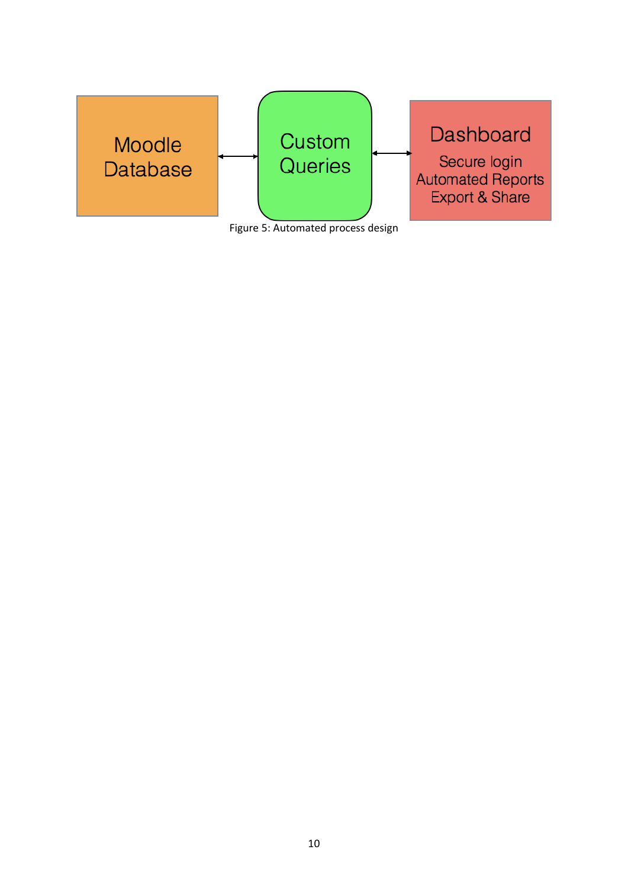